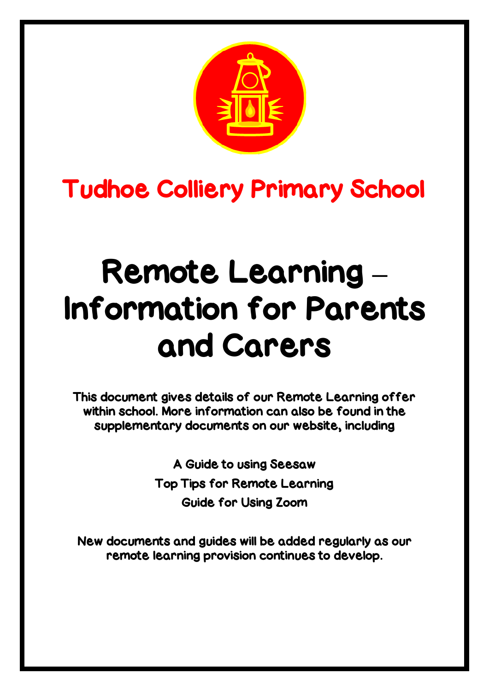

# Tudhoe Colliery Primary School

# Remote Learning **–** Information for Parents and Carers

This document gives details of our Remote Learning offer within school. More information can also be found in the supplementary documents on our website, including

> A Guide to using Seesaw Top Tips for Remote Learning Guide for Using Zoom

New documents and guides will be added regularly as our remote learning provision continues to develop.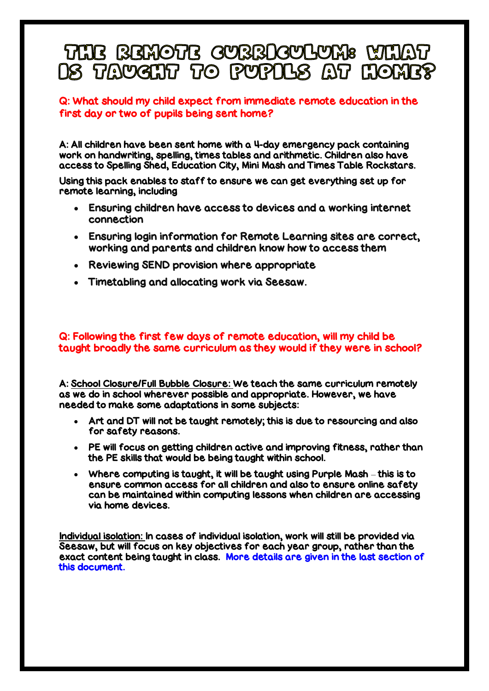# THE REMOTE CURRICULUM: MHAT **DS TAYGHT TO PUPDLS AT HOME?**

#### Q: What should my child expect from immediate remote education in the first day or two of pupils being sent home?

A: All children have been sent home with a 4-day emergency pack containing work on handwriting, spelling, times tables and arithmetic. Children also have access to Spelling Shed, Education City, Mini Mash and Times Table Rockstars.

Using this pack enables to staff to ensure we can get everything set up for remote learning, including

- Ensuring children have access to devices and a working internet connection
- Ensuring login information for Remote Learning sites are correct, working and parents and children know how to access them
- Reviewing SEND provision where appropriate
- Timetabling and allocating work via Seesaw.

#### Q: Following the first few days of remote education, will my child be taught broadly the same curriculum as they would if they were in school?

A: School Closure/Full Bubble Closure: We teach the same curriculum remotely as we do in school wherever possible and appropriate. However, we have needed to make some adaptations in some subjects:

- Art and DT will not be taught remotely; this is due to resourcing and also for safety reasons.
- PE will focus on getting children active and improving fitness, rather than the PE skills that would be being taught within school.
- Where computing is taught, it will be taught using Purple Mash this is to ensure common access for all children and also to ensure online safety can be maintained within computing lessons when children are accessing via home devices.

Individual isolation: In cases of individual isolation, work will still be provided via Seesaw, but will focus on key objectives for each year group, rather than the exact content being taught in class. More details are given in the last section of this document.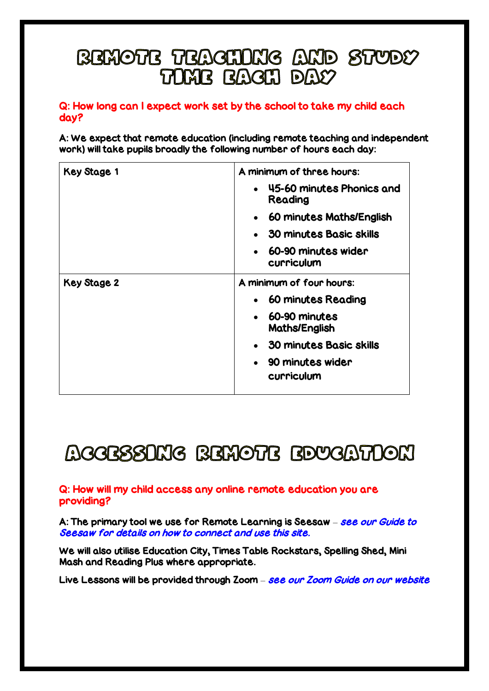### **BEMOTE TEACHING AND STUDY** TOME FAGH DAY

#### Q: How long can I expect work set by the school to take my child each day?

A: We expect that remote education (including remote teaching and independent work) will take pupils broadly the following number of hours each day:

| <b>Key Stage 1</b> | A minimum of three hours:                         |
|--------------------|---------------------------------------------------|
|                    | 45-60 minutes Phonics and<br>$\bullet$<br>Reading |
|                    | 60 minutes Maths/English<br>$\bullet$             |
|                    | <b>30 minutes Basic skills</b><br>$\bullet$       |
|                    | 60-90 minutes wider<br>curriculum                 |
| Key Stage 2        | A minimum of four hours:                          |
|                    | • 60 minutes Reading                              |
|                    | 60-90 minutes<br>$\bullet$<br>Maths/English       |
|                    | • 30 minutes Basic skills                         |
|                    | 90 minutes wider<br>curriculum                    |

# **ACCESSOMG BEMOTE EDUCATOON**

Q: How will my child access any online remote education you are providing?

A: The primary tool we use for Remote Learning is Seesaw – see our Guide to Seesaw for details on how to connect and use this site.

We will also utilise Education City, Times Table Rockstars, Spelling Shed, Mini Mash and Reading Plus where appropriate.

Live Lessons will be provided through Zoom – see our Zoom Guide on our website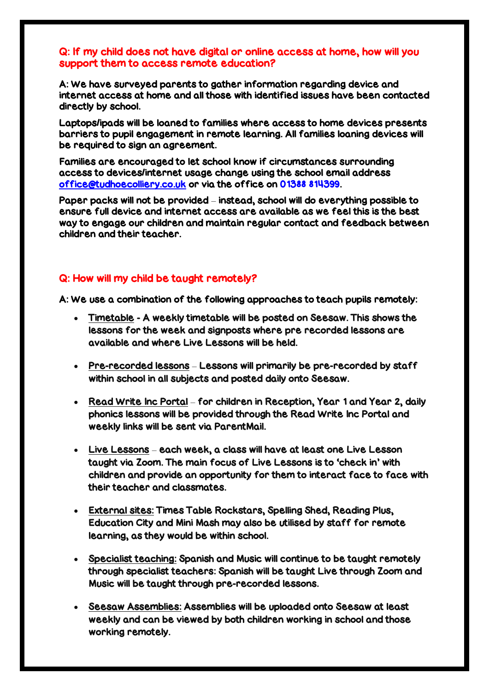#### Q: If my child does not have digital or online access at home, how will you support them to access remote education?

A: We have surveyed parents to gather information regarding device and internet access at home and all those with identified issues have been contacted directly by school.

Laptops/ipads will be loaned to families where access to home devices presents barriers to pupil engagement in remote learning. All families loaning devices will be required to sign an agreement.

Families are encouraged to let school know if circumstances surrounding access to devices/internet usage change using the school email address [office@tudhoecolliery.co.uk](mailto:office@tudhoecolliery.co.uk) or via the office on 01388 814399.

Paper packs will not be provided – instead, school will do everything possible to ensure full device and internet access are available as we feel this is the best way to engage our children and maintain regular contact and feedback between children and their teacher.

#### Q: How will my child be taught remotely?

A: We use a combination of the following approaches to teach pupils remotely:

- Timetable A weekly timetable will be posted on Seesaw. This shows the lessons for the week and signposts where pre recorded lessons are available and where Live Lessons will be held.
- Pre-recorded lessons Lessons will primarily be pre-recorded by staff within school in all subjects and posted daily onto Seesaw.
- Read Write Inc Portal for children in Reception, Year 1 and Year 2, daily phonics lessons will be provided through the Read Write Inc Portal and weekly links will be sent via ParentMail.
- Live Lessons each week, a class will have at least one Live Lesson taught via Zoom. The main focus of Live Lessons is to 'check in' with children and provide an opportunity for them to interact face to face with their teacher and classmates.
- External sites: Times Table Rockstars, Spelling Shed, Reading Plus, Education City and Mini Mash may also be utilised by staff for remote learning, as they would be within school.
- Specialist teaching: Spanish and Music will continue to be taught remotely through specialist teachers: Spanish will be taught Live through Zoom and Music will be taught through pre-recorded lessons.
- Seesaw Assemblies: Assemblies will be uploaded onto Seesaw at least weekly and can be viewed by both children working in school and those working remotely.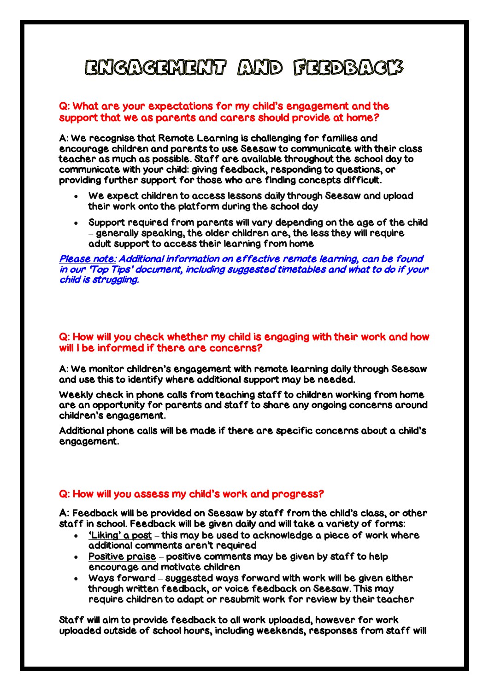# **BNGAGEMENT AND FEEDBAGTS**

#### Q: What are your expectations for my child's engagement and the support that we as parents and carers should provide at home?

A: We recognise that Remote Learning is challenging for families and encourage children and parents to use Seesaw to communicate with their class teacher as much as possible. Staff are available throughout the school day to communicate with your child: giving feedback, responding to questions, or providing further support for those who are finding concepts difficult.

- We expect children to access lessons daily through Seesaw and upload their work onto the platform during the school day
- Support required from parents will vary depending on the age of the child – generally speaking, the older children are, the less they will require adult support to access their learning from home

Please note: Additional information on effective remote learning, can be found in our 'Top Tips' document, including suggested timetables and what to do if your child is struggling.

#### Q: How will you check whether my child is engaging with their work and how will I be informed if there are concerns?

A: We monitor children's engagement with remote learning daily through Seesaw and use this to identify where additional support may be needed.

Weekly check in phone calls from teaching staff to children working from home are an opportunity for parents and staff to share any ongoing concerns around children's engagement.

Additional phone calls will be made if there are specific concerns about a child's engagement.

#### Q: How will you assess my child's work and progress?

A: Feedback will be provided on Seesaw by staff from the child's class, or other staff in school. Feedback will be given daily and will take a variety of forms:

- 'Liking' a post this may be used to acknowledge a piece of work where additional comments aren't required
- Positive praise positive comments may be given by staff to help encourage and motivate children
- Ways forward suggested ways forward with work will be given either through written feedback, or voice feedback on Seesaw. This may require children to adapt or resubmit work for review by their teacher

Staff will aim to provide feedback to all work uploaded, however for work uploaded outside of school hours, including weekends, responses from staff will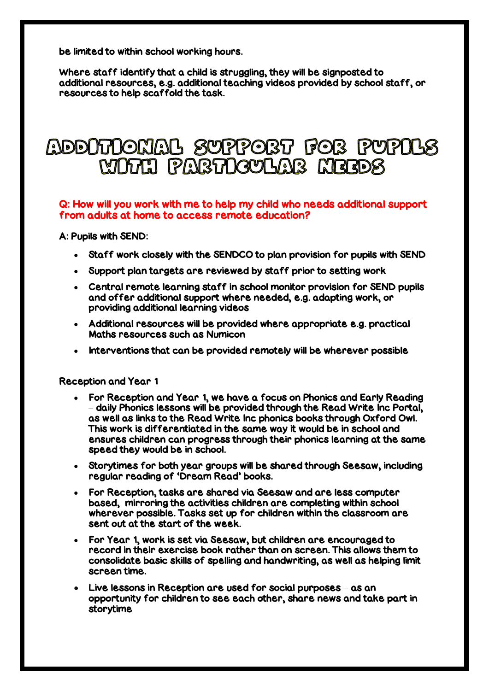be limited to within school working hours.

Where staff identify that a child is struggling, they will be signposted to additional resources, e.g. additional teaching videos provided by school staff, or resources to help scaffold the task.

### ADDOTOONAL SUPPORT FOR PUPOLS MOTH PABTOGULAB HEEDS

#### Q: How will you work with me to help my child who needs additional support from adults at home to access remote education?

A: Pupils with SEND:

- Staff work closely with the SENDCO to plan provision for pupils with SEND
- Support plan targets are reviewed by staff prior to setting work
- Central remote learning staff in school monitor provision for SEND pupils and offer additional support where needed, e.g. adapting work, or providing additional learning videos
- Additional resources will be provided where appropriate e.g. practical Maths resources such as Numicon
- Interventions that can be provided remotely will be wherever possible

#### Reception and Year 1

- For Reception and Year 1, we have a focus on Phonics and Early Reading – daily Phonics lessons will be provided through the Read Write Inc Portal, as well as links to the Read Write Inc phonics books through Oxford Owl. This work is differentiated in the same way it would be in school and ensures children can progress through their phonics learning at the same speed they would be in school.
- Storytimes for both year groups will be shared through Seesaw, including regular reading of 'Dream Read' books.
- For Reception, tasks are shared via Seesaw and are less computer based, mirroring the activities children are completing within school wherever possible. Tasks set up for children within the classroom are sent out at the start of the week.
- For Year 1, work is set via Seesaw, but children are encouraged to record in their exercise book rather than on screen. This allows them to consolidate basic skills of spelling and handwriting, as well as helping limit screen time.
- Live lessons in Reception are used for social purposes as an opportunity for children to see each other, share news and take part in storytime